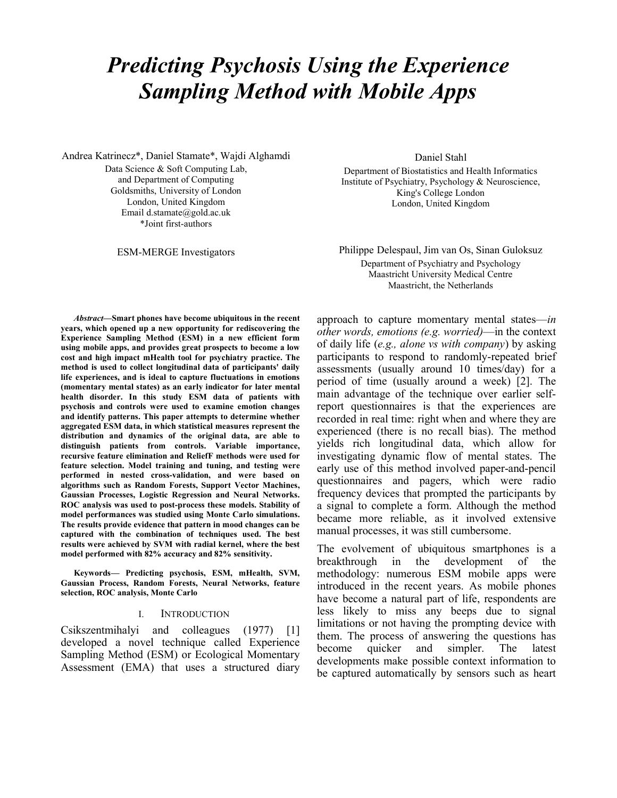# Predicting Psychosis Using the Experience Sampling Method with Mobile Apps

Andrea Katrinecz\*, Daniel Stamate\*, Wajdi Alghamdi Data Science & Soft Computing Lab, and Department of Computing Goldsmiths, University of London London, United Kingdom Email d.stamate@gold.ac.uk

\*Joint first-authors

Daniel Stahl

Department of Biostatistics and Health Informatics Institute of Psychiatry, Psychology & Neuroscience, King's College London London, United Kingdom

ESM-MERGE Investigators Philippe Delespaul, Jim van Os, Sinan Guloksuz Department of Psychiatry and Psychology Maastricht University Medical Centre Maastricht, the Netherlands

Abstract—Smart phones have become ubiquitous in the recent years, which opened up a new opportunity for rediscovering the Experience Sampling Method (ESM) in a new efficient form using mobile apps, and provides great prospects to become a low cost and high impact mHealth tool for psychiatry practice. The method is used to collect longitudinal data of participants' daily life experiences, and is ideal to capture fluctuations in emotions (momentary mental states) as an early indicator for later mental health disorder. In this study ESM data of patients with psychosis and controls were used to examine emotion changes and identify patterns. This paper attempts to determine whether aggregated ESM data, in which statistical measures represent the distribution and dynamics of the original data, are able to distinguish patients from controls. Variable importance, recursive feature elimination and ReliefF methods were used for feature selection. Model training and tuning, and testing were performed in nested cross-validation, and were based on algorithms such as Random Forests, Support Vector Machines, Gaussian Processes, Logistic Regression and Neural Networks. ROC analysis was used to post-process these models. Stability of model performances was studied using Monte Carlo simulations. The results provide evidence that pattern in mood changes can be captured with the combination of techniques used. The best results were achieved by SVM with radial kernel, where the best model performed with 82% accuracy and 82% sensitivity.

Keywords— Predicting psychosis, ESM, mHealth, SVM, Gaussian Process, Random Forests, Neural Networks, feature selection, ROC analysis, Monte Carlo

#### I. INTRODUCTION

Csikszentmihalyi and colleagues (1977) [1] developed a novel technique called Experience Sampling Method (ESM) or Ecological Momentary Assessment (EMA) that uses a structured diary approach to capture momentary mental states—in other words, emotions (e.g. worried)—in the context of daily life (e.g., alone vs with company) by asking participants to respond to randomly-repeated brief assessments (usually around 10 times/day) for a period of time (usually around a week) [2]. The main advantage of the technique over earlier selfreport questionnaires is that the experiences are recorded in real time: right when and where they are experienced (there is no recall bias). The method yields rich longitudinal data, which allow for investigating dynamic flow of mental states. The early use of this method involved paper-and-pencil questionnaires and pagers, which were radio frequency devices that prompted the participants by a signal to complete a form. Although the method became more reliable, as it involved extensive manual processes, it was still cumbersome.

The evolvement of ubiquitous smartphones is a breakthrough in the development of the methodology: numerous ESM mobile apps were introduced in the recent years. As mobile phones have become a natural part of life, respondents are less likely to miss any beeps due to signal limitations or not having the prompting device with them. The process of answering the questions has become quicker and simpler. The latest developments make possible context information to be captured automatically by sensors such as heart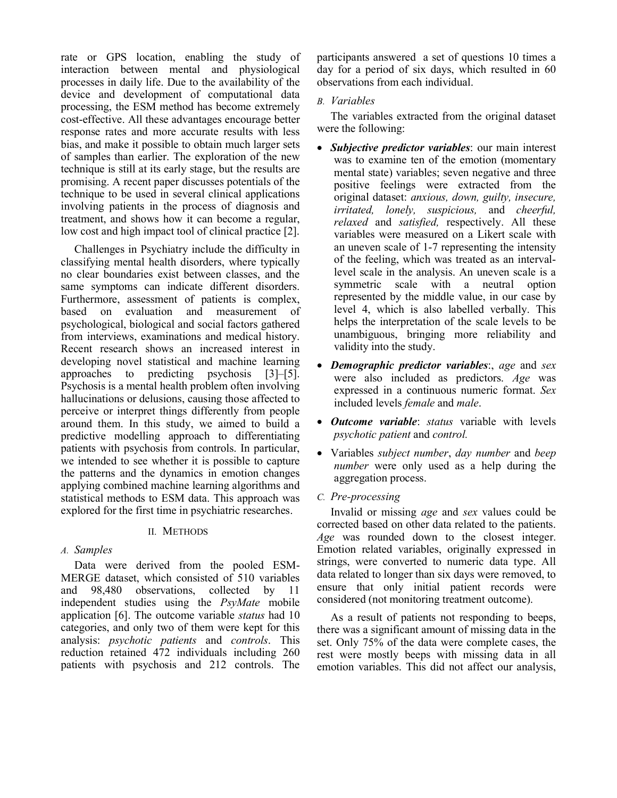rate or GPS location, enabling the study of interaction between mental and physiological processes in daily life. Due to the availability of the device and development of computational data processing, the ESM method has become extremely cost-effective. All these advantages encourage better response rates and more accurate results with less bias, and make it possible to obtain much larger sets of samples than earlier. The exploration of the new technique is still at its early stage, but the results are promising. A recent paper discusses potentials of the technique to be used in several clinical applications involving patients in the process of diagnosis and treatment, and shows how it can become a regular, low cost and high impact tool of clinical practice [2].

 Challenges in Psychiatry include the difficulty in classifying mental health disorders, where typically no clear boundaries exist between classes, and the same symptoms can indicate different disorders. Furthermore, assessment of patients is complex, based on evaluation and measurement of psychological, biological and social factors gathered from interviews, examinations and medical history. Recent research shows an increased interest in developing novel statistical and machine learning approaches to predicting psychosis [3]–[5]. Psychosis is a mental health problem often involving hallucinations or delusions, causing those affected to perceive or interpret things differently from people around them. In this study, we aimed to build a predictive modelling approach to differentiating patients with psychosis from controls. In particular, we intended to see whether it is possible to capture the patterns and the dynamics in emotion changes applying combined machine learning algorithms and statistical methods to ESM data. This approach was explored for the first time in psychiatric researches.

# II. METHODS

# A. Samples

Data were derived from the pooled ESM-MERGE dataset, which consisted of 510 variables and 98,480 observations, collected by 11 independent studies using the PsyMate mobile application [6]. The outcome variable status had 10 categories, and only two of them were kept for this analysis: psychotic patients and controls. This reduction retained 472 individuals including 260 patients with psychosis and 212 controls. The

participants answered a set of questions 10 times a day for a period of six days, which resulted in 60 observations from each individual.

# B. Variables

The variables extracted from the original dataset were the following:

- Subjective predictor variables: our main interest was to examine ten of the emotion (momentary mental state) variables; seven negative and three positive feelings were extracted from the original dataset: anxious, down, guilty, insecure, irritated, lonely, suspicious, and cheerful, relaxed and satisfied, respectively. All these variables were measured on a Likert scale with an uneven scale of 1-7 representing the intensity of the feeling, which was treated as an intervallevel scale in the analysis. An uneven scale is a symmetric scale with a neutral option represented by the middle value, in our case by level 4, which is also labelled verbally. This helps the interpretation of the scale levels to be unambiguous, bringing more reliability and validity into the study.
- Demographic predictor variables:, age and sex were also included as predictors. Age was expressed in a continuous numeric format. Sex included levels female and male.
- Outcome variable: status variable with levels psychotic patient and control.
- Variables *subject number*, *day number* and *beep* number were only used as a help during the aggregation process.

# C. Pre-processing

Invalid or missing age and sex values could be corrected based on other data related to the patients. Age was rounded down to the closest integer. Emotion related variables, originally expressed in strings, were converted to numeric data type. All data related to longer than six days were removed, to ensure that only initial patient records were considered (not monitoring treatment outcome).

As a result of patients not responding to beeps, there was a significant amount of missing data in the set. Only 75% of the data were complete cases, the rest were mostly beeps with missing data in all emotion variables. This did not affect our analysis,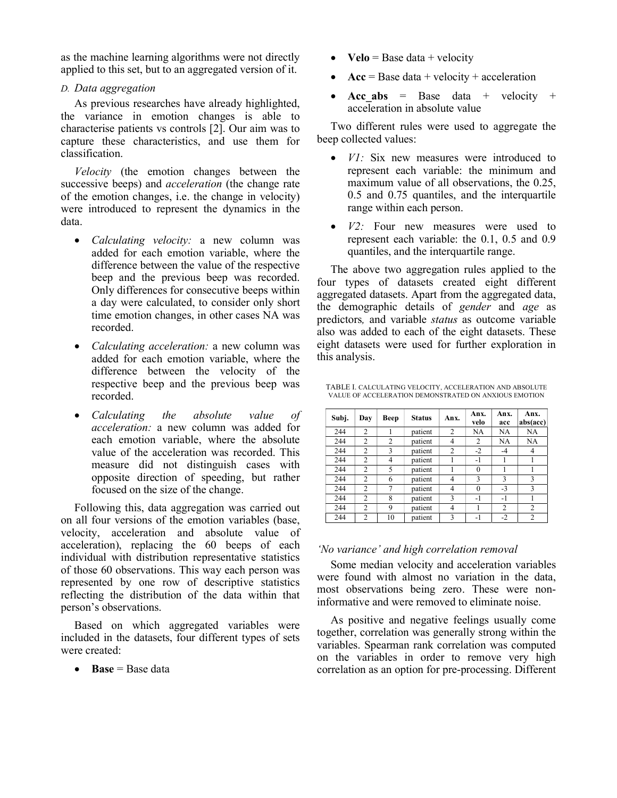as the machine learning algorithms were not directly applied to this set, but to an aggregated version of it.

## D. Data aggregation

As previous researches have already highlighted, the variance in emotion changes is able to characterise patients vs controls [2]. Our aim was to capture these characteristics, and use them for classification.

Velocity (the emotion changes between the successive beeps) and *acceleration* (the change rate of the emotion changes, i.e. the change in velocity) were introduced to represent the dynamics in the data.

- Calculating velocity: a new column was added for each emotion variable, where the difference between the value of the respective beep and the previous beep was recorded. Only differences for consecutive beeps within a day were calculated, to consider only short time emotion changes, in other cases NA was recorded.
- *Calculating acceleration:* a new column was added for each emotion variable, where the difference between the velocity of the respective beep and the previous beep was recorded.
- Calculating the absolute value of acceleration: a new column was added for each emotion variable, where the absolute value of the acceleration was recorded. This measure did not distinguish cases with opposite direction of speeding, but rather focused on the size of the change.

Following this, data aggregation was carried out on all four versions of the emotion variables (base, velocity, acceleration and absolute value of acceleration), replacing the 60 beeps of each individual with distribution representative statistics of those 60 observations. This way each person was represented by one row of descriptive statistics reflecting the distribution of the data within that person's observations.

Based on which aggregated variables were included in the datasets, four different types of sets were created:

 $\bullet$  Base = Base data

- $Velo = Base data + velocity$
- $Acc = Base data + velocity + acceleration$
- Acc abs = Base data + velocity + acceleration in absolute value

Two different rules were used to aggregate the beep collected values:

- *V1*: Six new measures were introduced to represent each variable: the minimum and maximum value of all observations, the 0.25, 0.5 and 0.75 quantiles, and the interquartile range within each person.
- *V2*: Four new measures were used to represent each variable: the 0.1, 0.5 and 0.9 quantiles, and the interquartile range.

The above two aggregation rules applied to the four types of datasets created eight different aggregated datasets. Apart from the aggregated data, the demographic details of gender and age as predictors, and variable status as outcome variable also was added to each of the eight datasets. These eight datasets were used for further exploration in this analysis.

TABLE I. CALCULATING VELOCITY, ACCELERATION AND ABSOLUTE VALUE OF ACCELERATION DEMONSTRATED ON ANXIOUS EMOTION

| Subj. | Day            | Beep | <b>Status</b> | Anx.           | Anx.<br>velo | Anx.<br>acc    | Anx.<br>abs(acc) |
|-------|----------------|------|---------------|----------------|--------------|----------------|------------------|
| 244   | $\overline{2}$ |      | patient       | $\overline{c}$ | NA           | NA             | NA               |
| 244   | $\mathfrak{D}$ | 2    | patient       | 4              | 2            | NA             | NA               |
| 244   | $\overline{2}$ | 3    | patient       | $\overline{2}$ | $-2$         | -4             | 4                |
| 244   | $\overline{2}$ | 4    | patient       |                | -1           |                |                  |
| 244   | $\overline{2}$ | 5    | patient       |                | $\theta$     |                |                  |
| 244   | $\overline{2}$ | 6    | patient       | 4              | 3            | 3              | 3                |
| 244   | $\overline{2}$ | 7    | patient       | 4              | $\theta$     | $-3$           | 3                |
| 244   | $\overline{2}$ | 8    | patient       | 3              | $-1$         | -1             |                  |
| 244   | $\overline{2}$ | 9    | patient       | 4              |              | $\overline{c}$ | 2                |
| 244   | $\overline{2}$ | 10   | patient       | 3              | -1           | $-2$           | 2                |

# 'No variance' and high correlation removal

Some median velocity and acceleration variables were found with almost no variation in the data, most observations being zero. These were noninformative and were removed to eliminate noise.

As positive and negative feelings usually come together, correlation was generally strong within the variables. Spearman rank correlation was computed on the variables in order to remove very high correlation as an option for pre-processing. Different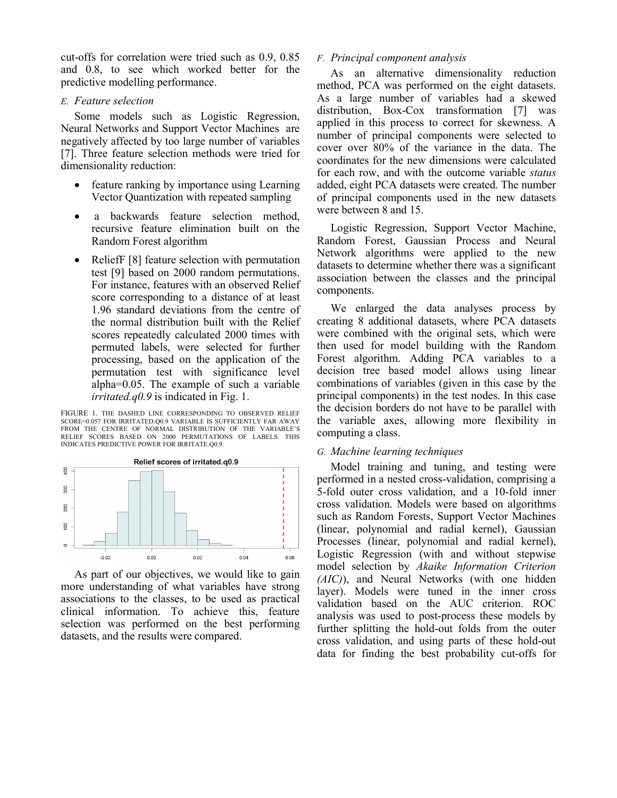cut-offs for correlation were tried such as 0.9, 0.85 and 0.8, to see which worked better for the predictive modelling performance.

## E. Feature selection

 Some models such as Logistic Regression, Neural Networks and Support Vector Machines are negatively affected by too large number of variables [7]. Three feature selection methods were tried for dimensionality reduction:

- feature ranking by importance using Learning Vector Quantization with repeated sampling
- a backwards feature selection method, recursive feature elimination built on the Random Forest algorithm
- ReliefF [8] feature selection with permutation test [9] based on 2000 random permutations. For instance, features with an observed Relief score corresponding to a distance of at least 1.96 standard deviations from the centre of the normal distribution built with the Relief scores repeatedly calculated 2000 times with permuted labels, were selected for further processing, based on the application of the permutation test with significance level alpha=0.05. The example of such a variable *irritated.q0.9* is indicated in Fig. 1.

FIGURE 1. THE DASHED LINE CORRESPONDING TO OBSERVED RELIEF SCORE=0.057 FOR IRRITATED.Q0.9 VARIABLE IS SUFFICIENTLY FAR AWAY FROM THE CENTRE OF NORMAL DISTRIBUTION OF THE VARIABLE'S RELIEF SCORES BASED ON 2000 PERMUTATIONS OF LABELS. THIS INDICATES PREDICTIVE POWER FOR IRRITATE.Q0.9.



As part of our objectives, we would like to gain more understanding of what variables have strong associations to the classes, to be used as practical clinical information. To achieve this, feature selection was performed on the best performing datasets, and the results were compared.

## F. Principal component analysis

As an alternative dimensionality reduction method, PCA was performed on the eight datasets. As a large number of variables had a skewed distribution, Box-Cox transformation [7] was applied in this process to correct for skewness. A number of principal components were selected to cover over 80% of the variance in the data. The coordinates for the new dimensions were calculated for each row, and with the outcome variable status added, eight PCA datasets were created. The number of principal components used in the new datasets were between 8 and 15.

Logistic Regression, Support Vector Machine, Random Forest, Gaussian Process and Neural Network algorithms were applied to the new datasets to determine whether there was a significant association between the classes and the principal components.

We enlarged the data analyses process by creating 8 additional datasets, where PCA datasets were combined with the original sets, which were then used for model building with the Random Forest algorithm. Adding PCA variables to a decision tree based model allows using linear combinations of variables (given in this case by the principal components) in the test nodes. In this case the decision borders do not have to be parallel with the variable axes, allowing more flexibility in computing a class.

# G. Machine learning techniques

Model training and tuning, and testing were performed in a nested cross-validation, comprising a 5-fold outer cross validation, and a 10-fold inner cross validation. Models were based on algorithms such as Random Forests, Support Vector Machines (linear, polynomial and radial kernel), Gaussian Processes (linear, polynomial and radial kernel), Logistic Regression (with and without stepwise model selection by Akaike Information Criterion (AIC)), and Neural Networks (with one hidden layer). Models were tuned in the inner cross validation based on the AUC criterion. ROC analysis was used to post-process these models by further splitting the hold-out folds from the outer cross validation, and using parts of these hold-out data for finding the best probability cut-offs for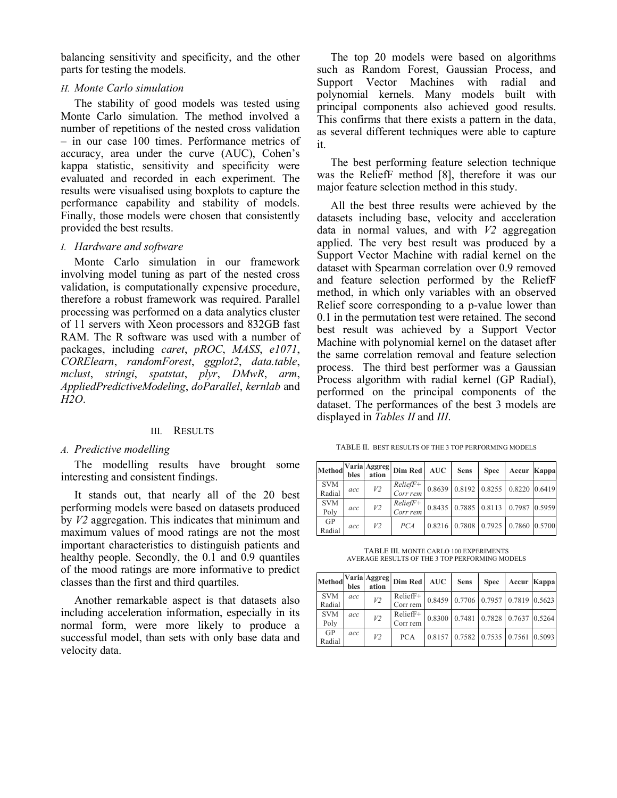balancing sensitivity and specificity, and the other parts for testing the models.

## H. Monte Carlo simulation

The stability of good models was tested using Monte Carlo simulation. The method involved a number of repetitions of the nested cross validation – in our case 100 times. Performance metrics of accuracy, area under the curve (AUC), Cohen's kappa statistic, sensitivity and specificity were evaluated and recorded in each experiment. The results were visualised using boxplots to capture the performance capability and stability of models. Finally, those models were chosen that consistently provided the best results.

#### I. Hardware and software

Monte Carlo simulation in our framework involving model tuning as part of the nested cross validation, is computationally expensive procedure, therefore a robust framework was required. Parallel processing was performed on a data analytics cluster of 11 servers with Xeon processors and 832GB fast RAM. The R software was used with a number of packages, including *caret*, *pROC*, *MASS*, *e1071*, CORElearn, randomForest, ggplot2, data.table, mclust, stringi, spatstat, plyr, DMwR, arm, AppliedPredictiveModeling, doParallel, kernlab and H2O.

#### III. RESULTS

#### A. Predictive modelling

The modelling results have brought some interesting and consistent findings.

It stands out, that nearly all of the 20 best performing models were based on datasets produced by V2 aggregation. This indicates that minimum and maximum values of mood ratings are not the most important characteristics to distinguish patients and healthy people. Secondly, the 0.1 and 0.9 quantiles of the mood ratings are more informative to predict classes than the first and third quartiles.

Another remarkable aspect is that datasets also including acceleration information, especially in its normal form, were more likely to produce a successful model, than sets with only base data and velocity data.

The top 20 models were based on algorithms such as Random Forest, Gaussian Process, and Support Vector Machines with radial and polynomial kernels. Many models built with principal components also achieved good results. This confirms that there exists a pattern in the data, as several different techniques were able to capture it.

The best performing feature selection technique was the ReliefF method [8], therefore it was our major feature selection method in this study.

All the best three results were achieved by the datasets including base, velocity and acceleration data in normal values, and with  $V2$  aggregation applied. The very best result was produced by a Support Vector Machine with radial kernel on the dataset with Spearman correlation over 0.9 removed and feature selection performed by the ReliefF method, in which only variables with an observed Relief score corresponding to a p-value lower than 0.1 in the permutation test were retained. The second best result was achieved by a Support Vector Machine with polynomial kernel on the dataset after the same correlation removal and feature selection process. The third best performer was a Gaussian Process algorithm with radial kernel (GP Radial), performed on the principal components of the dataset. The performances of the best 3 models are displayed in Tables II and III.

TABLE II. BEST RESULTS OF THE 3 TOP PERFORMING MODELS

| Method               | bles | ation | <i>Naria</i> Aggreg Dim Red                                    | <b>AUC</b> | <b>Sens</b> | <b>Spec</b> | Accur Kappa                        |  |
|----------------------|------|-------|----------------------------------------------------------------|------------|-------------|-------------|------------------------------------|--|
| <b>SVM</b><br>Radial | acc  | V2    | $\frac{ReliefF+}{Corr rem}$ 0.8639 0.8192 0.8255 0.8220 0.6419 |            |             |             |                                    |  |
| <b>SVM</b><br>Poly   | acc  | V2    | $\frac{ReliefF+}{Corr rem}$ 0.8435 0.7885 0.8113 0.7987 0.5959 |            |             |             |                                    |  |
| GP<br>Radial         | acc  | V2    | PCA                                                            |            |             |             | 0.8216 0.7808 0.7925 0.7860 0.5700 |  |

TABLE III. MONTE CARLO 100 EXPERIMENTS AVERAGE RESULTS OF THE 3 TOP PERFORMING MODELS

| Method               | bles | ation          | Varia Aggreg Dim Red   | <b>AUC</b> | <b>Sens</b>                                  | <b>Spec</b> | Accur Kappa |  |
|----------------------|------|----------------|------------------------|------------|----------------------------------------------|-------------|-------------|--|
| <b>SVM</b><br>Radial | acc  | V <sub>2</sub> | $ReliefF+$<br>Corr rem |            | $0.8459$   0.7706   0.7957   0.7819   0.5623 |             |             |  |
| <b>SVM</b><br>Poly   | acc  | V <sub>2</sub> | $Relieff+$<br>Corr rem |            | $0.8300$   0.7481   0.7828   0.7637   0.5264 |             |             |  |
| <b>GP</b><br>Radial  | acc  | V <sub>2</sub> | <b>PCA</b>             |            | 0.8157 0.7582 0.7535 0.7561 0.5093           |             |             |  |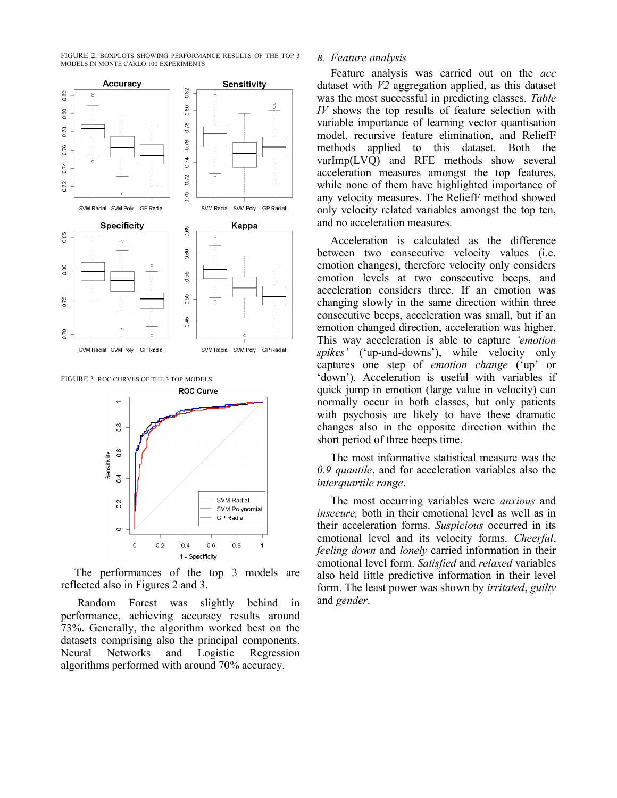FIGURE 2. BOXPLOTS SHOWING PERFORMANCE RESULTS OF THE TOP 3 MODELS IN MONTE CARLO 100 EXPERIMENTS



FIGURE 3. ROC CURVES OF THE 3 TOP MODELS



The performances of the top 3 models are reflected also in Figures 2 and 3.

 Random Forest was slightly behind in performance, achieving accuracy results around 73%. Generally, the algorithm worked best on the datasets comprising also the principal components. Neural Networks and Logistic Regression algorithms performed with around 70% accuracy.

#### B. Feature analysis

Feature analysis was carried out on the *acc* dataset with  $V2$  aggregation applied, as this dataset was the most successful in predicting classes. Table  $IV$  shows the top results of feature selection with variable importance of learning vector quantisation model, recursive feature elimination, and ReliefF methods applied to this dataset. Both the varImp(LVQ) and RFE methods show several acceleration measures amongst the top features, while none of them have highlighted importance of any velocity measures. The ReliefF method showed only velocity related variables amongst the top ten, and no acceleration measures.

Acceleration is calculated as the difference between two consecutive velocity values (i.e. emotion changes), therefore velocity only considers emotion levels at two consecutive beeps, and acceleration considers three. If an emotion was changing slowly in the same direction within three consecutive beeps, acceleration was small, but if an emotion changed direction, acceleration was higher. This way acceleration is able to capture 'emotion spikes' ('up-and-downs'), while velocity only captures one step of emotion change ('up' or 'down'). Acceleration is useful with variables if quick jump in emotion (large value in velocity) can normally occur in both classes, but only patients with psychosis are likely to have these dramatic changes also in the opposite direction within the short period of three beeps time.

The most informative statistical measure was the 0.9 quantile, and for acceleration variables also the interquartile range.

The most occurring variables were *anxious* and insecure, both in their emotional level as well as in their acceleration forms. Suspicious occurred in its emotional level and its velocity forms. Cheerful, feeling down and lonely carried information in their emotional level form. Satisfied and relaxed variables also held little predictive information in their level form. The least power was shown by *irritated*, *guilty* and gender.